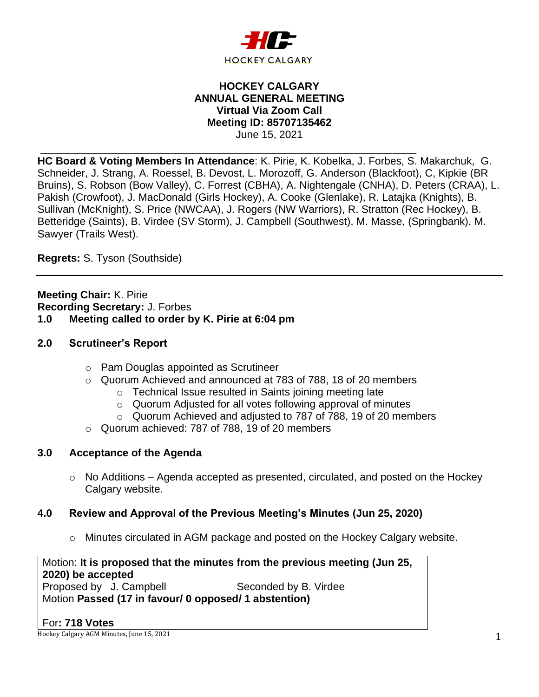

## **HOCKEY CALGARY ANNUAL GENERAL MEETING Virtual Via Zoom Call Meeting ID: 85707135462** June 15, 2021

\_\_\_\_\_\_\_\_\_\_\_\_\_\_\_\_\_\_\_\_\_\_\_\_\_\_\_\_\_\_\_\_\_\_\_\_\_\_\_\_\_\_\_\_\_\_\_\_\_\_\_\_\_\_\_\_\_\_\_\_\_\_\_\_

**HC Board & Voting Members In Attendance**: K. Pirie, K. Kobelka, J. Forbes, S. Makarchuk, G. Schneider, J. Strang, A. Roessel, B. Devost, L. Morozoff, G. Anderson (Blackfoot), C, Kipkie (BR Bruins), S. Robson (Bow Valley), C. Forrest (CBHA), A. Nightengale (CNHA), D. Peters (CRAA), L. Pakish (Crowfoot), J. MacDonald (Girls Hockey), A. Cooke (Glenlake), R. Latajka (Knights), B. Sullivan (McKnight), S. Price (NWCAA), J. Rogers (NW Warriors), R. Stratton (Rec Hockey), B. Betteridge (Saints), B. Virdee (SV Storm), J. Campbell (Southwest), M. Masse, (Springbank), M. Sawyer (Trails West).

**Regrets:** S. Tyson (Southside)

**Meeting Chair:** K. Pirie **Recording Secretary:** J. Forbes **1.0 Meeting called to order by K. Pirie at 6:04 pm**

# **2.0 Scrutineer's Report**

- o Pam Douglas appointed as Scrutineer
- o Quorum Achieved and announced at 783 of 788, 18 of 20 members
	- o Technical Issue resulted in Saints joining meeting late
	- o Quorum Adjusted for all votes following approval of minutes
	- o Quorum Achieved and adjusted to 787 of 788, 19 of 20 members
- o Quorum achieved: 787 of 788, 19 of 20 members

# **3.0 Acceptance of the Agenda**

 $\circ$  No Additions – Agenda accepted as presented, circulated, and posted on the Hockey Calgary website.

# **4.0 Review and Approval of the Previous Meeting's Minutes (Jun 25, 2020)**

o Minutes circulated in AGM package and posted on the Hockey Calgary website.

Motion: **It is proposed that the minutes from the previous meeting (Jun 25, 2020) be accepted** Proposed by J. Campbell Seconded by B. Virdee Motion **Passed (17 in favour/ 0 opposed/ 1 abstention)**

#### For**: 718 Votes**

Hockey Calgary AGM Minutes, June 15, 2021 2008 12:30 12:30 12:30 12:30 12:30 12:30 12:30 12:30 12:30 12:30 12:30 12:30 12:30 12:30 12:30 12:30 12:30 12:30 12:30 12:30 12:30 12:30 12:30 12:30 12:30 12:30 12:30 12:30 12:30 1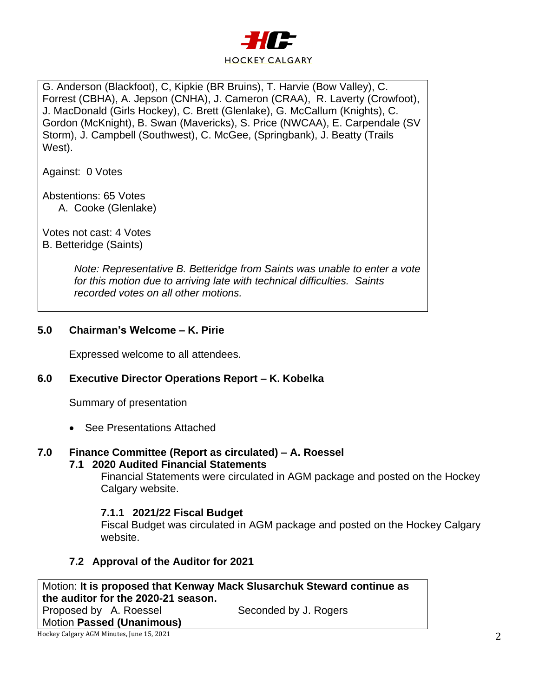

G. Anderson (Blackfoot), C, Kipkie (BR Bruins), T. Harvie (Bow Valley), C. Forrest (CBHA), A. Jepson (CNHA), J. Cameron (CRAA), R. Laverty (Crowfoot), J. MacDonald (Girls Hockey), C. Brett (Glenlake), G. McCallum (Knights), C. Gordon (McKnight), B. Swan (Mavericks), S. Price (NWCAA), E. Carpendale (SV Storm), J. Campbell (Southwest), C. McGee, (Springbank), J. Beatty (Trails West).

Against: 0 Votes

Abstentions: 65 Votes

A. Cooke (Glenlake)

Votes not cast: 4 Votes B. Betteridge (Saints)

> *Note: Representative B. Betteridge from Saints was unable to enter a vote for this motion due to arriving late with technical difficulties. Saints recorded votes on all other motions.*

# **5.0 Chairman's Welcome – K. Pirie**

Expressed welcome to all attendees.

# **6.0 Executive Director Operations Report – K. Kobelka**

Summary of presentation

• See Presentations Attached

#### **7.0 Finance Committee (Report as circulated) – A. Roessel 7.1 2020 Audited Financial Statements**

Financial Statements were circulated in AGM package and posted on the Hockey Calgary website.

# **7.1.1 2021/22 Fiscal Budget**

Fiscal Budget was circulated in AGM package and posted on the Hockey Calgary website.

# **7.2 Approval of the Auditor for 2021**

Hockey Calgary AGM Minutes, June 15, 2021 2 Motion: **It is proposed that Kenway Mack Slusarchuk Steward continue as the auditor for the 2020-21 season.** Proposed by A. Roessel Seconded by J. Rogers Motion **Passed (Unanimous)**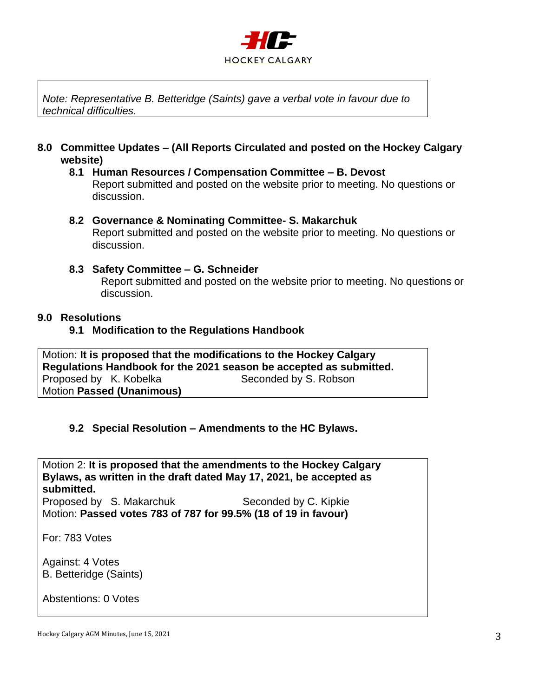

*Note: Representative B. Betteridge (Saints) gave a verbal vote in favour due to technical difficulties.*

**8.0 Committee Updates – (All Reports Circulated and posted on the Hockey Calgary website)**

#### **8.1 Human Resources / Compensation Committee – B. Devost** Report submitted and posted on the website prior to meeting. No questions or discussion.

### **8.2 Governance & Nominating Committee- S. Makarchuk**

Report submitted and posted on the website prior to meeting. No questions or discussion.

### **8.3 Safety Committee – G. Schneider**

Report submitted and posted on the website prior to meeting. No questions or discussion.

### **9.0 Resolutions**

**9.1 Modification to the Regulations Handbook**

Motion: **It is proposed that the modifications to the Hockey Calgary Regulations Handbook for the 2021 season be accepted as submitted.** Proposed by K. Kobelka Seconded by S. Robson Motion **Passed (Unanimous)**

# **9.2 Special Resolution – Amendments to the HC Bylaws.**

Motion 2: **It is proposed that the amendments to the Hockey Calgary Bylaws, as written in the draft dated May 17, 2021, be accepted as submitted.**

Proposed by S. Makarchuk Seconded by C. Kipkie Motion: **Passed votes 783 of 787 for 99.5% (18 of 19 in favour)**

For: 783 Votes

Against: 4 Votes B. Betteridge (Saints)

Abstentions: 0 Votes